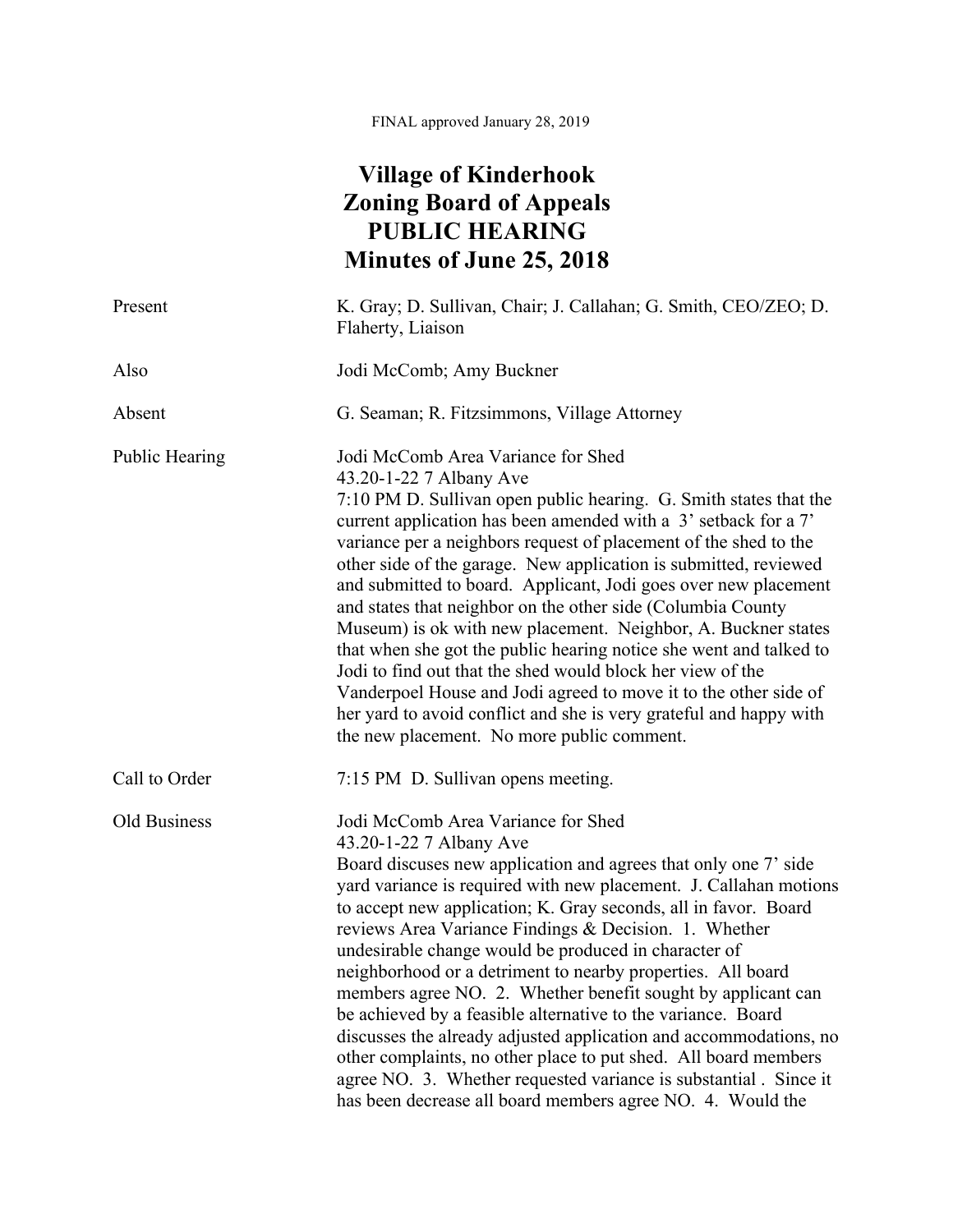FINAL approved January 28, 2019

## **Village of Kinderhook Zoning Board of Appeals PUBLIC HEARING Minutes of June 25, 2018**

| Present               | K. Gray; D. Sullivan, Chair; J. Callahan; G. Smith, CEO/ZEO; D.<br>Flaherty, Liaison                                                                                                                                                                                                                                                                                                                                                                                                                                                                                                                                                                                                                                                                                                                                                                                         |
|-----------------------|------------------------------------------------------------------------------------------------------------------------------------------------------------------------------------------------------------------------------------------------------------------------------------------------------------------------------------------------------------------------------------------------------------------------------------------------------------------------------------------------------------------------------------------------------------------------------------------------------------------------------------------------------------------------------------------------------------------------------------------------------------------------------------------------------------------------------------------------------------------------------|
| Also                  | Jodi McComb; Amy Buckner                                                                                                                                                                                                                                                                                                                                                                                                                                                                                                                                                                                                                                                                                                                                                                                                                                                     |
| Absent                | G. Seaman; R. Fitzsimmons, Village Attorney                                                                                                                                                                                                                                                                                                                                                                                                                                                                                                                                                                                                                                                                                                                                                                                                                                  |
| <b>Public Hearing</b> | Jodi McComb Area Variance for Shed<br>43.20-1-22 7 Albany Ave<br>7:10 PM D. Sullivan open public hearing. G. Smith states that the<br>current application has been amended with a 3' setback for a 7'<br>variance per a neighbors request of placement of the shed to the<br>other side of the garage. New application is submitted, reviewed<br>and submitted to board. Applicant, Jodi goes over new placement<br>and states that neighbor on the other side (Columbia County<br>Museum) is ok with new placement. Neighbor, A. Buckner states<br>that when she got the public hearing notice she went and talked to<br>Jodi to find out that the shed would block her view of the<br>Vanderpoel House and Jodi agreed to move it to the other side of<br>her yard to avoid conflict and she is very grateful and happy with<br>the new placement. No more public comment. |
| Call to Order         | 7:15 PM D. Sullivan opens meeting.                                                                                                                                                                                                                                                                                                                                                                                                                                                                                                                                                                                                                                                                                                                                                                                                                                           |
| Old Business          | Jodi McComb Area Variance for Shed<br>43.20-1-22 7 Albany Ave<br>Board discuses new application and agrees that only one 7' side<br>yard variance is required with new placement. J. Callahan motions<br>to accept new application; K. Gray seconds, all in favor. Board<br>reviews Area Variance Findings & Decision. 1. Whether<br>undesirable change would be produced in character of<br>neighborhood or a detriment to nearby properties. All board<br>members agree NO. 2. Whether benefit sought by applicant can<br>be achieved by a feasible alternative to the variance. Board<br>discusses the already adjusted application and accommodations, no<br>other complaints, no other place to put shed. All board members<br>agree NO. 3. Whether requested variance is substantial. Since it<br>has been decrease all board members agree NO. 4. Would the           |